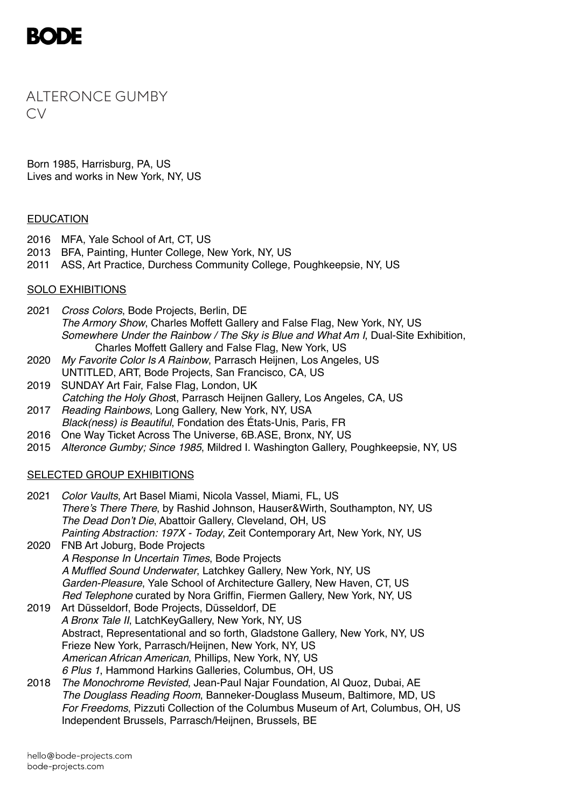

ALTERONCE GUMBY  $\bigcap$ 

Born 1985, Harrisburg, PA, US Lives and works in New York, NY, US

#### **EDUCATION**

- 2016 MFA, Yale School of Art, CT, US
- 2013 BFA, Painting, Hunter College, New York, NY, US
- 2011 ASS, Art Practice, Durchess Community College, Poughkeepsie, NY, US

# SOLO EXHIBITIONS

- 2021 *Cross Colors*, Bode Projects, Berlin, DE *The Armory Show*, Charles Moffett Gallery and False Flag, New York, NY, US *Somewhere Under the Rainbow / The Sky is Blue and What Am I*, Dual-Site Exhibition, Charles Moffett Gallery and False Flag, New York, US
- 2020 *My Favorite Color Is A Rainbow*, Parrasch Heijnen, Los Angeles, US UNTITLED, ART, Bode Projects, San Francisco, CA, US
- 2019 SUNDAY Art Fair, False Flag, London, UK *Catching the Holy Ghos*t, Parrasch Heijnen Gallery, Los Angeles, CA, US
- 2017 *Reading Rainbows*, Long Gallery, New York, NY, USA *Black(ness) is Beautiful*, Fondation des États-Unis, Paris, FR
- 2016 One Way Ticket Across The Universe, 6B.ASE, Bronx, NY, US
- 2015 *Alteronce Gumby; Since 1985*, Mildred I. Washington Gallery, Poughkeepsie, NY, US

## SELECTED GROUP EXHIBITIONS

- 2021 *Color Vaults*, Art Basel Miami, Nicola Vassel, Miami, FL, US *There's There There*, by Rashid Johnson, Hauser&Wirth, Southampton, NY, US *The Dead Don't Die*, Abattoir Gallery, Cleveland, OH, US *Painting Abstraction: 197X - Today*, Zeit Contemporary Art, New York, NY, US 2020 FNB Art Joburg, Bode Projects *A Response In Uncertain Times*, Bode Projects *A Muffled Sound Underwater*, Latchkey Gallery, New York, NY, US
- *Garden-Pleasure*, Yale School of Architecture Gallery, New Haven, CT, US *Red Telephone* curated by Nora Griffin, Fiermen Gallery, New York, NY, US
- 2019 Art Düsseldorf, Bode Projects, Düsseldorf, DE *A Bronx Tale II*, LatchKeyGallery, New York, NY, US Abstract, Representational and so forth, Gladstone Gallery, New York, NY, US Frieze New York, Parrasch/Heijnen, New York, NY, US *American African American*, Phillips, New York, NY, US *6 Plus 1*, Hammond Harkins Galleries, Columbus, OH, US
- 2018 *The Monochrome Revisted*, Jean-Paul Najar Foundation, Al Quoz, Dubai, AE *The Douglass Reading Room*, Banneker-Douglass Museum, Baltimore, MD, US *For Freedoms*, Pizzuti Collection of the Columbus Museum of Art, Columbus, OH, US Independent Brussels, Parrasch/Heijnen, Brussels, BE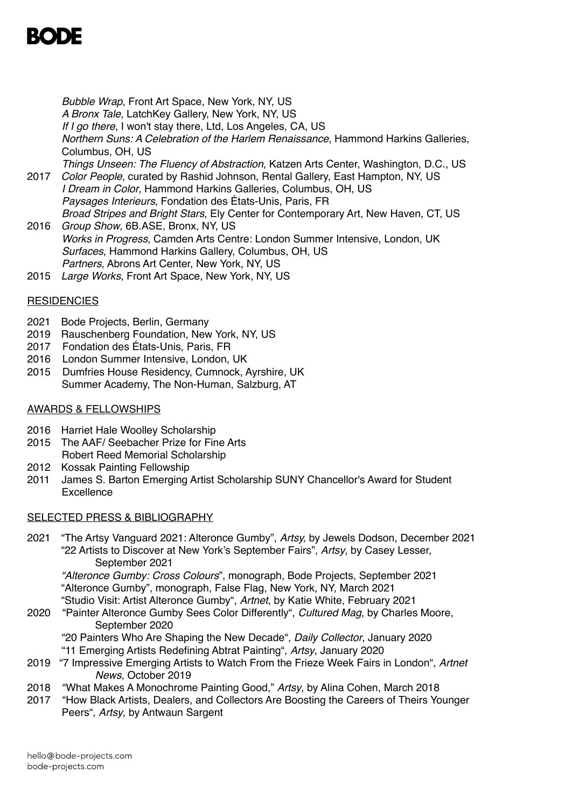*Bubble Wrap*, Front Art Space, New York, NY, US *A Bronx Tale*, LatchKey Gallery, New York, NY, US *If I go there*, I won't stay there, Ltd, Los Angeles, CA, US *Northern Suns: A Celebration of the Harlem Renaissance*, Hammond Harkins Galleries, Columbus, OH, US *Things Unseen: The Fluency of Abstraction*, Katzen Arts Center, Washington, D.C., US 2017 *Color People*, curated by Rashid Johnson, Rental Gallery, East Hampton, NY, US *I Dream in Color*, Hammond Harkins Galleries, Columbus, OH, US *Paysages Interieurs*, Fondation des États-Unis, Paris, FR *Broad Stripes and Bright Stars*, Ely Center for Contemporary Art, New Haven, CT, US 2016 *Group Show*, 6B.ASE, Bronx, NY, US

- *Works in Progress*, Camden Arts Centre: London Summer Intensive, London, UK *Surfaces*, Hammond Harkins Gallery, Columbus, OH, US *Partners*, Abrons Art Center, New York, NY, US
- 2015 *Large Works*, Front Art Space, New York, NY, US

# **RESIDENCIES**

- 2021 Bode Projects, Berlin, Germany
- 2019 Rauschenberg Foundation, New York, NY, US
- 2017 Fondation des États-Unis, Paris, FR
- 2016 London Summer Intensive, London, UK
- 2015 Dumfries House Residency, Cumnock, Ayrshire, UK Summer Academy, The Non-Human, Salzburg, AT

## AWARDS & FELLOWSHIPS

- 2016 Harriet Hale Woolley Scholarship
- 2015 The AAF/ Seebacher Prize for Fine Arts Robert Reed Memorial Scholarship
- 2012 Kossak Painting Fellowship
- 2011 James S. Barton Emerging Artist Scholarship SUNY Chancellor's Award for Student Excellence

## SELECTED PRESS & BIBLIOGRAPHY

2021 "The Artsy Vanguard 2021: Alteronce Gumby", *Artsy,* by Jewels Dodson, December 2021 "22 Artists to Discover at New York's September Fairs", *Artsy*, by Casey Lesser, September 2021

*"Alteronce Gumby: Cross Colours*", monograph, Bode Projects, September 2021 "Alteronce Gumby", monograph, False Flag, New York, NY, March 2021

- "Studio Visit: Artist Alteronce Gumby", *Artnet*, by Katie White, February 2021 2020 "Painter Alteronce Gumby Sees Color Differently", *Cultured Mag*, by Charles Moore, September 2020
	- "20 Painters Who Are Shaping the New Decade", *Daily Collector*, January 2020
	- "11 Emerging Artists Redefining Abtrat Painting", *Artsy*, January 2020
- 2019 "7 Impressive Emerging Artists to Watch From the Frieze Week Fairs in London", *Artnet News,* October 2019
- 2018 "What Makes A Monochrome Painting Good," *Artsy*, by Alina Cohen, March 2018
- 2017 "How Black Artists, Dealers, and Collectors Are Boosting the Careers of Theirs Younger Peers", *Artsy*, by Antwaun Sargent